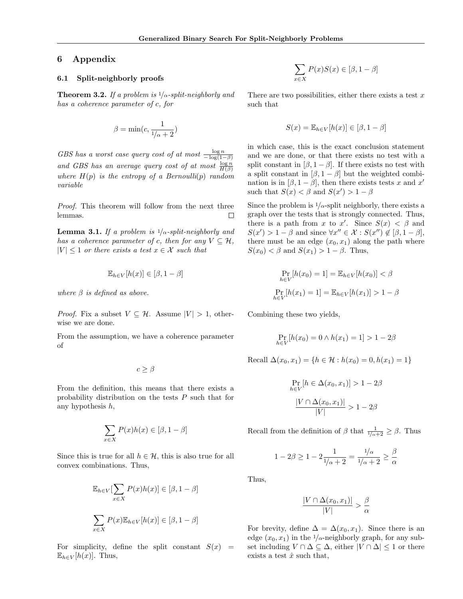# 6 Appendix

### 6.1 Split-neighborly proofs

**Theorem 3.2.** If a problem is  $1/\alpha$ -split-neighborly and has a coherence parameter of c, for

$$
\beta = \min(c, \frac{1}{1/\alpha + 2})
$$

GBS has a worst case query cost of at most  $\frac{\log n}{-\log(1-\beta)}$ and GBS has an average query cost of at most  $\frac{\log n}{H(\beta)}$ where  $H(p)$  is the entropy of a Bernoulli(p) random variable

Proof. This theorem will follow from the next three lemmas. П

**Lemma 3.1.** If a problem is  $1/\alpha$ -split-neighborly and has a coherence parameter of c, then for any  $V \subseteq \mathcal{H}$ ,  $|V| \leq 1$  or there exists a test  $x \in \mathcal{X}$  such that

$$
\mathbb{E}_{h \in V}[h(x)] \in [\beta, 1 - \beta]
$$

where  $\beta$  is defined as above.

*Proof.* Fix a subset  $V \subseteq \mathcal{H}$ . Assume  $|V| > 1$ , otherwise we are done.

From the assumption, we have a coherence parameter of

 $c > \beta$ 

From the definition, this means that there exists a probability distribution on the tests P such that for any hypothesis h,

$$
\sum_{x \in X} P(x)h(x) \in [\beta, 1 - \beta]
$$

Since this is true for all  $h \in \mathcal{H}$ , this is also true for all convex combinations. Thus,

$$
\mathbb{E}_{h \in V}[\sum_{x \in X} P(x)h(x)] \in [\beta, 1 - \beta]
$$
  

$$
\sum_{x \in X} P(x)\mathbb{E}_{h \in V}[h(x)] \in [\beta, 1 - \beta]
$$

For simplicity, define the split constant  $S(x)$  =  $\mathbb{E}_{h \in V}[h(x)]$ . Thus,

$$
\sum_{x \in X} P(x)S(x) \in [\beta, 1 - \beta]
$$

There are two possibilities, either there exists a test  $x$ such that

$$
S(x) = \mathbb{E}_{h \in V}[h(x)] \in [\beta, 1 - \beta]
$$

in which case, this is the exact conclusion statement and we are done, or that there exists no test with a split constant in  $[\beta, 1-\beta]$ . If there exists no test with a split constant in  $[\beta, 1 - \beta]$  but the weighted combination is in  $[\beta, 1-\beta]$ , then there exists tests x and x' such that  $S(x) < \beta$  and  $S(x') > 1 - \beta$ 

Since the problem is  $\frac{1}{\alpha}$ -split neighborly, there exists a graph over the tests that is strongly connected. Thus, there is a path from x to x'. Since  $S(x) < \beta$  and  $S(x') > 1 - \beta$  and since  $\forall x'' \in \mathcal{X} : S(x'') \notin [\beta, 1 - \beta],$ there must be an edge  $(x_0, x_1)$  along the path where  $S(x_0) < \beta$  and  $S(x_1) > 1 - \beta$ . Thus,

$$
\Pr_{h \in V}[h(x_0) = 1] = \mathbb{E}_{h \in V}[h(x_0)] < \beta
$$
\n
$$
\Pr_{h \in V}[h(x_1) = 1] = \mathbb{E}_{h \in V}[h(x_1)] > 1 - \beta
$$

Combining these two yields,

$$
\Pr_{h \in V}[h(x_0) = 0 \land h(x_1) = 1] > 1 - 2\beta
$$

Recall  $\Delta(x_0, x_1) = \{h \in \mathcal{H} : h(x_0) = 0, h(x_1) = 1\}$ 

$$
\Pr_{h \in V} [h \in \Delta(x_0, x_1)] > 1 - 2\beta
$$

$$
\frac{|V \cap \Delta(x_0, x_1)|}{|V|} > 1 - 2\beta
$$

Recall from the definition of  $\beta$  that  $\frac{1}{1/\alpha+2} \geq \beta$ . Thus

$$
1-2\beta\geq 1-2\frac{1}{\sqrt[1]{\alpha+2}}=\frac{\sqrt{1}}{\sqrt[1]{\alpha+2}}\geq \frac{\beta}{\alpha}
$$

Thus,

$$
\frac{|V \cap \Delta(x_0, x_1)|}{|V|} > \frac{\beta}{\alpha}
$$

For brevity, define  $\Delta = \Delta(x_0, x_1)$ . Since there is an edge  $(x_0, x_1)$  in the  $1/\alpha$ -neighborly graph, for any subset including  $V \cap \Delta \subseteq \Delta$ , either  $|V \cap \Delta| \leq 1$  or there exists a test  $\hat{x}$  such that,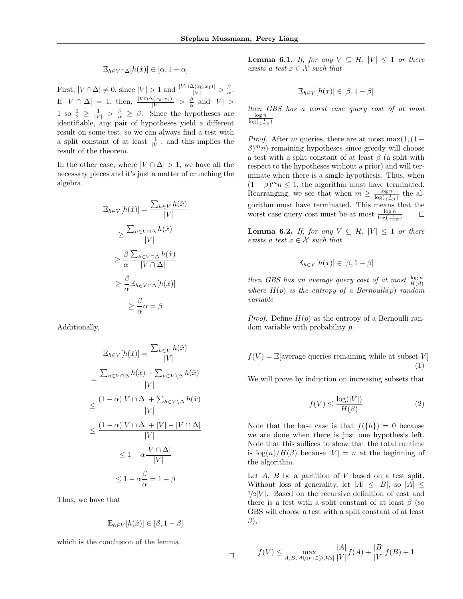$$
\mathbb{E}_{h \in V \cap \Delta}[h(\hat{x})] \in [\alpha, 1 - \alpha]
$$

First,  $|V \cap \Delta| \neq 0$ , since  $|V| > 1$  and  $\frac{|V \cap \Delta(x_0, x_1)|}{|V|} > \frac{\beta}{\alpha}$ . If  $|V \cap \Delta| = 1$ , then,  $\frac{|V \cap \Delta(x_0, x_1)|}{|V|} > \frac{\beta}{\alpha}$  and  $|V| > \frac{\beta}{\alpha}$ 1 so  $\frac{1}{2} \geq \frac{1}{|V|} > \frac{\beta}{\alpha} \geq \beta$ . Since the hypotheses are identifiable, any pair of hypotheses yield a different result on some test, so we can always find a test with a split constant of at least  $\frac{1}{|V|}$ , and this implies the result of the theorem.

In the other case, where  $|V \cap \Delta| > 1$ , we have all the necessary pieces and it's just a matter of crunching the algebra.

$$
\mathbb{E}_{h \in V}[h(\hat{x})] = \frac{\sum_{h \in V} h(\hat{x})}{|V|}
$$

$$
\geq \frac{\sum_{h \in V \cap \Delta} h(\hat{x})}{|V|}
$$

$$
\geq \frac{\beta}{\alpha} \frac{\sum_{h \in V \cap \Delta} h(\hat{x})}{|V \cap \Delta|}
$$

$$
\geq \frac{\beta}{\alpha} \mathbb{E}_{h \in V \cap \Delta}[h(\hat{x})]
$$

$$
\geq \frac{\beta}{\alpha} \alpha = \beta
$$

Additionally,

$$
\mathbb{E}_{h \in V}[h(\hat{x})] = \frac{\sum_{h \in V} h(\hat{x})}{|V|}
$$

$$
= \frac{\sum_{h \in V \cap \Delta} h(\hat{x}) + \sum_{h \in V \setminus \Delta} h(\hat{x})}{|V|}
$$

$$
\leq \frac{(1-\alpha)|V \cap \Delta| + \sum_{h \in V \setminus \Delta} h(\hat{x})}{|V|}
$$

$$
\leq \frac{(1-\alpha)|V \cap \Delta| + |V| - |V \cap \Delta|}{|V|}
$$

$$
\leq 1 - \alpha \frac{|V \cap \Delta|}{|V|}
$$

$$
\leq 1 - \alpha \frac{\beta}{\alpha} = 1 - \beta
$$

Thus, we have that

$$
\mathbb{E}_{h \in V}[h(\hat{x})] \in [\beta, 1 - \beta]
$$

 $\Box$ 

which is the conclusion of the lemma.

**Lemma 6.1.** If, for any  $V \subseteq \mathcal{H}$ ,  $|V| \leq 1$  or there exists a test  $x \in \mathcal{X}$  such that

$$
\mathbb{E}_{h \in V}[h(x)] \in [\beta, 1 - \beta]
$$

then GBS has a worst case query cost of at most  $\frac{\log n}{\log(\frac{1}{1-\beta})}$ 

*Proof.* After m queries, there are at most max $(1,(1 \beta$ <sup>m</sup>n) remaining hypotheses since greedy will choose a test with a split constant of at least  $\beta$  (a split with respect to the hypotheses without a prior) and will terminate when there is a single hypothesis. Thus, when  $(1 - \beta)^m n \leq 1$ , the algorithm must have terminated. Rearranging, we see that when  $m \geq \frac{\log n}{\log(\frac{1}{1-\beta})}$  the algorithm must have terminated. This means that the worst case query cost must be at most  $\frac{\log n}{\log(\frac{1}{1-\beta})}$ .  $\Box$ 

**Lemma 6.2.** If, for any  $V \subseteq H$ ,  $|V| \leq 1$  or there exists a test  $x \in \mathcal{X}$  such that

$$
\mathbb{E}_{h \in V}[h(x)] \in [\beta, 1 - \beta]
$$

then GBS has an average query cost of at most  $\frac{\log n}{H(\beta)}$ where  $H(p)$  is the entropy of a Bernoulli(p) random variable

*Proof.* Define  $H(p)$  as the entropy of a Bernoulli random variable with probability p.

$$
f(V) = \mathbb{E}[\text{average queries remaining while at subset } V]
$$

$$
(1)
$$

We will prove by induction on increasing subsets that

$$
f(V) \le \frac{\log(|V|)}{H(\beta)}\tag{2}
$$

Note that the base case is that  $f({h}) = 0$  because we are done when there is just one hypothesis left. Note that this suffices to show that the total runtime is  $\log(n)/H(\beta)$  because  $|V| = n$  at the beginning of the algorithm.

Let  $A, B$  be a partition of  $V$  based on a test split. Without loss of generality, let  $|A| \leq |B|$ , so  $|A| \leq$  $1/2|V|$ . Based on the recursive definition of cost and there is a test with a split constant of at least  $\beta$  (so GBS will choose a test with a split constant of at least  $\beta$ ),

$$
f(V) \le \max_{A,B,|A|/|V| \in [\beta,1/2]} \frac{|A|}{|V|} f(A) + \frac{|B|}{|V|} f(B) + 1
$$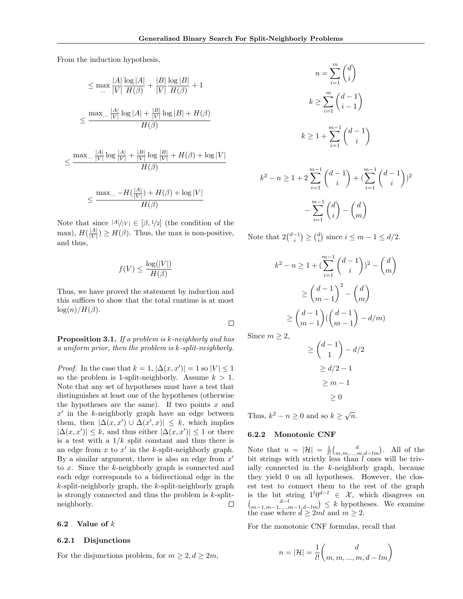From the induction hypothesis,

$$
\leq \max \frac{|A|}{|V|} \frac{\log |A|}{H(\beta)} + \frac{|B|}{|V|} \frac{\log |B|}{H(\beta)} + 1
$$

$$
\leq \frac{\max_{\dots} \frac{|A|}{|V|} \log |A| + \frac{|B|}{|V|} \log |B| + H(\beta)}{H(\beta)}
$$

$$
\leq \frac{\max_{\dots} \frac{|A|}{|V|} \log \frac{|A|}{|V|} + \frac{|B|}{|V|} \log \frac{|B|}{|V|} + H(\beta) + \log |V|}{H(\beta)}
$$
  

$$
\leq \frac{\max_{\dots} - H(\frac{|A|}{|V|}) + H(\beta) + \log |V|}{H(\beta)}
$$

Note that since  $|A|/|V| \in [\beta, 1/2]$  (the condition of the  $\max$ ),  $H(\frac{|A|}{|V|})$  $\frac{|A|}{|V|}$   $\geq H(\beta)$ . Thus, the max is non-positive, and thus,

$$
f(V) \le \frac{\log(|V|)}{H(\beta)}
$$

Thus, we have proved the statement by induction and this suffices to show that the total runtime is at most  $log(n)/H(\beta)$ .

Proposition 3.1. If a problem is k-neighborly and has a uniform prior, then the problem is k-split-neighborly.

*Proof.* In the case that  $k = 1$ ,  $|\Delta(x, x')| = 1$  so  $|V| \leq 1$ so the problem is 1-split-neighborly. Assume  $k > 1$ . Note that any set of hypotheses must have a test that distinguishes at least one of the hypotheses (otherwise the hypotheses are the same). If two points  $x$  and  $x'$  in the k-neighborly graph have an edge between them, then  $|\Delta(x, x') \cup \Delta(x', x)| \leq k$ , which implies  $|\Delta(x, x')| \leq k$ , and thus either  $|\Delta(x, x')| \leq 1$  or there is a test with a  $1/k$  split constant and thus there is an edge from  $x$  to  $x'$  in the k-split-neighborly graph. By a similar argument, there is also an edge from  $x'$ to x. Since the k-neighborly graph is connected and each edge corresponds to a bidirectional edge in the  $k$ -split-neighborly graph, the  $k$ -split-neighborly graph is strongly connected and thus the problem is  $k$ -splitneighborly.  $\Box$ 

#### 6.2 Value of k

### 6.2.1 Disjunctions

For the disjunctions problem, for  $m \geq 2, d \geq 2m$ ,

$$
n = \sum_{i=1}^{m} {d \choose i}
$$
  
\n
$$
k \ge \sum_{i=1}^{m} {d-1 \choose i-1}
$$
  
\n
$$
k \ge 1 + \sum_{i=1}^{m-1} {d-1 \choose i}
$$
  
\n
$$
k^2 - n \ge 1 + 2 \sum_{i=1}^{m-1} {d-1 \choose i} + (\sum_{i=1}^{m-1} {d-1 \choose i})^2
$$
  
\n
$$
-\sum_{i=1}^{m-1} {d \choose i} - {d \choose m}
$$

Note that  $2\binom{d-1}{i} \geq \binom{d}{i}$  since  $i \leq m-1 \leq d/2$ .

$$
k^{2} - n \ge 1 + \left(\sum_{i=1}^{m-1} {d-1 \choose i} \right)^{2} - {d \choose m}
$$

$$
\ge {d-1 \choose m-1}^{2} - {d \choose m}
$$

$$
\ge {d-1 \choose m-1} \left({d-1 \choose m-1} - {d/m}\right)
$$

Since  $m \geq 2$ ,

 $\Box$ 

$$
\ge \binom{d-1}{1} - d/2
$$

$$
\ge d/2 - 1
$$

$$
\ge m - 1
$$

$$
\ge 0
$$

Thus,  $k^2 - n \geq 0$  and so  $k \geq \sqrt{n}$ .

#### 6.2.2 Monotonic CNF

Note that  $n = |\mathcal{H}| = \frac{1}{l!} {d \choose m,m,\dots,m,d-lm}$ . All of the bit strings with strictly less than  $l$  ones will be trivially connected in the k-neighborly graph, because they yield 0 on all hypotheses. However, the closest test to connect them to the rest of the graph is the bit string  $1^{l}0^{d-l} \in \mathcal{X}$ , which disagrees on  $\binom{d-l}{m-1,m-1,\ldots,m-1,d-lm} \leq k$  hypotheses. We examine the case where  $d \geq 2ml$  and  $m \geq 2$ .

For the monotonic CNF formulas, recall that

$$
n=|\mathcal{H}|=\frac{1}{l!}\binom{d}{m,m,...,m,d-lm}
$$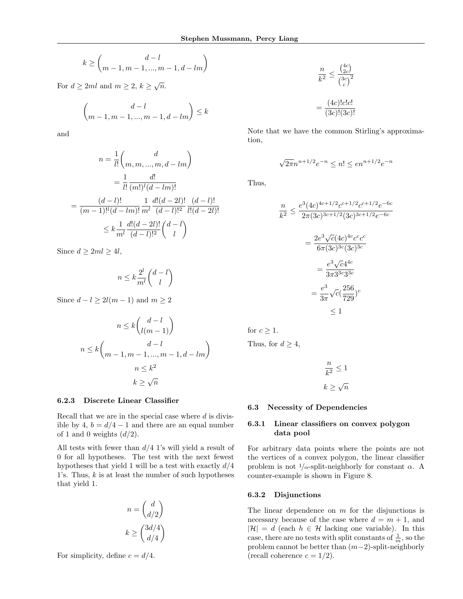$$
k \ge \binom{d-l}{m-1, m-1, \dots, m-1, d-lm}
$$

For  $d \geq 2ml$  and  $m \geq 2, k \geq \sqrt{n}$ .

$$
\binom{d-l}{m-1, m-1, ..., m-1, d-lm} \le k
$$

and

$$
n = \frac{1}{l!} \binom{d}{m, m, ..., m, d - lm}
$$

$$
= \frac{1}{l!} \frac{d!}{(m!)^l (d - lm)!}
$$

$$
= \frac{(d - l)!}{(m - 1)!^l (d - lm)!} \frac{1}{m^l} \frac{d!(d - 2l)!}{(d - l)!^2} \frac{(d - l)!}{l!(d - 2l)!}
$$

$$
\leq k \frac{1}{m^l} \frac{d!(d - 2l)!}{(d - l)!^2} \binom{d - l}{l}
$$

Since  $d \geq 2ml \geq 4l$ ,

$$
n \le k \frac{2^l}{m^l} \binom{d-l}{l}
$$

Since  $d - l \geq 2l(m - 1)$  and  $m \geq 2$ 

$$
n \le k \binom{d-l}{l(m-1)}
$$
  

$$
n \le k \binom{d-l}{m-1, m-1, \dots, m-1, d-lm}
$$
  

$$
n \le k^2
$$
  

$$
k \ge \sqrt{n}
$$

### 6.2.3 Discrete Linear Classifier

Recall that we are in the special case where  $d$  is divisible by 4,  $b = d/4 - 1$  and there are an equal number of 1 and 0 weights  $(d/2)$ .

All tests with fewer than  $d/4$  1's will yield a result of 0 for all hypotheses. The test with the next fewest hypotheses that yield 1 will be a test with exactly  $d/4$ 1's. Thus,  $k$  is at least the number of such hypotheses that yield 1.

$$
n = \begin{pmatrix} d \\ d/2 \end{pmatrix}
$$

$$
k \ge \begin{pmatrix} 3d/4 \\ d/4 \end{pmatrix}
$$

For simplicity, define  $c = d/4$ .

$$
\frac{n}{k^2} \le \frac{\binom{4c}{2c}}{\binom{3c}{c}^2}
$$

$$
= \frac{(4c)!c!c!}{(3c)!(3c)!}
$$

Note that we have the common Stirling's approximation,

$$
\sqrt{2\pi}n^{n+1/2}e^{-n} \le n! \le en^{n+1/2}e^{-n}
$$

Thus,

$$
\frac{n}{k^2} \le \frac{e^3 (4c)^{4c+1/2} c^{c+1/2} c^{c+1/2} e^{-6c}}{2\pi (3c)^{3c+1/2} (3c)^{3c+1/2} e^{-6c}}
$$

$$
= \frac{2e^3 \sqrt{c} (4c)^{4c} c^c c^c}{6\pi (3c)^{3c} (3c)^{3c}}
$$

$$
= \frac{e^3 \sqrt{c} 4^{4c}}{3\pi 3^{3c} 3^{3c}}
$$

$$
= \frac{e^3}{3\pi} \sqrt{c} (\frac{256}{729})^c
$$

$$
\le 1
$$

for  $c \geq 1$ . Thus, for  $d \geq 4$ ,

$$
\frac{n}{k^2} \le 1
$$
  

$$
k \ge \sqrt{n}
$$

#### 6.3 Necessity of Dependencies

## 6.3.1 Linear classifiers on convex polygon data pool

For arbitrary data points where the points are not the vertices of a convex polygon, the linear classifier problem is not  $\frac{1}{\alpha}$ -split-neighborly for constant  $\alpha$ . A counter-example is shown in Figure 8.

### 6.3.2 Disjunctions

The linear dependence on  $m$  for the disjunctions is necessary because of the case where  $d = m + 1$ , and  $|\mathcal{H}| = d$  (each  $h \in \mathcal{H}$  lacking one variable). In this case, there are no tests with split constants of  $\frac{1}{m}$ , so the problem cannot be better than  $(m-2)$ -split-neighborly (recall coherence  $c = 1/2$ ).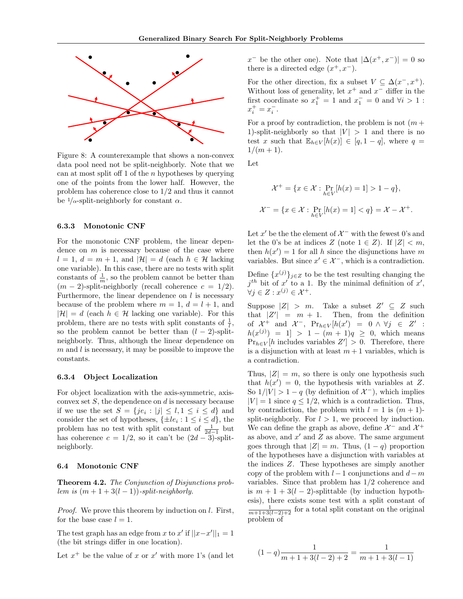

Figure 8: A counterexample that shows a non-convex data pool need not be split-neighborly. Note that we can at most split of 1 of the  $n$  hypotheses by querying one of the points from the lower half. However, the problem has coherence close to 1/2 and thus it cannot be  $1/\alpha$ -split-neighborly for constant  $\alpha$ .

### 6.3.3 Monotonic CNF

For the monotonic CNF problem, the linear dependence on  $m$  is necessary because of the case where  $l = 1, d = m + 1$ , and  $|\mathcal{H}| = d$  (each  $h \in \mathcal{H}$  lacking one variable). In this case, there are no tests with split constants of  $\frac{1}{m}$ , so the problem cannot be better than  $(m-2)$ -split-neighborly (recall coherence  $c = 1/2$ ). Furthermore, the linear dependence on  $l$  is necessary because of the problem where  $m = 1, d = l + 1$ , and  $|\mathcal{H}| = d$  (each  $h \in \mathcal{H}$  lacking one variable). For this problem, there are no tests with split constants of  $\frac{1}{l}$ , so the problem cannot be better than  $(l-2)$ -splitneighborly. Thus, although the linear dependence on  $m$  and  $l$  is necessary, it may be possible to improve the constants.

## 6.3.4 Object Localization

For object localization with the axis-symmetric, axisconvex set  $S$ , the dependence on  $d$  is necessary because if we use the set  $S = \{je_i : |j| \leq l, 1 \leq i \leq d\}$  and consider the set of hypotheses,  $\{\pm le_i : 1 \leq i \leq d\}$ , the problem has no test with split constant of  $\frac{1}{2d-1}$  but has coherence  $c = 1/2$ , so it can't be  $(2d - 3)$ -splitneighborly.

### 6.4 Monotonic CNF

Theorem 4.2. The Conjunction of Disjunctions problem is  $(m+1+3(l-1))$ -split-neighborly.

Proof. We prove this theorem by induction on l. First, for the base case  $l = 1$ .

The test graph has an edge from x to x' if  $||x-x'||_1 = 1$ (the bit strings differ in one location).

Let  $x^+$  be the value of x or  $x'$  with more 1's (and let

 $x^-$  be the other one). Note that  $|\Delta(x^+, x^-)| = 0$  so there is a directed edge  $(x^+, x^-)$ .

For the other direction, fix a subset  $V \subseteq \Delta(x^-, x^+)$ . Without loss of generality, let  $x^+$  and  $x^-$  differ in the first coordinate so  $x_1^+ = 1$  and  $x_1^- = 0$  and  $\forall i > 1$ :  $x_i^+ = x_i^-$ .

For a proof by contradiction, the problem is not  $(m +$ 1)-split-neighborly so that  $|V| > 1$  and there is no test x such that  $\mathbb{E}_{h \in V}[h(x)] \in [q, 1-q]$ , where  $q =$  $1/(m+1)$ .

Let

 $\overline{\cdot}$ 

$$
\mathcal{X}^+ = \{x \in \mathcal{X} : \Pr_{h \in V}[h(x) = 1] > 1 - q\},\
$$
  

$$
\mathcal{X}^- = \{x \in \mathcal{X} : \Pr_{h \in V}[h(x) = 1] < q\} = \mathcal{X} - \mathcal{X}^+.
$$

Let  $x'$  be the the element of  $\mathcal{X}^-$  with the fewest 0's and let the 0's be at indices Z (note  $1 \in Z$ ). If  $|Z| < m$ , then  $h(x') = 1$  for all h since the disjunctions have m variables. But since  $x' \in \mathcal{X}^-$ , which is a contradiction.

Define  $\{x^{(j)}\}_{j\in\mathbb{Z}}$  to be the test resulting changing the  $j^{th}$  bit of x' to a 1. By the minimal definition of x',  $\forall j \in Z : x^{(j)} \in \mathcal{X}^+.$ 

Suppose  $|Z| > m$ . Take a subset  $Z' \subseteq Z$  such that  $|Z'| = m + 1$ . Then, from the definition of  $\mathcal{X}^+$  and  $\mathcal{X}^-$ ,  $Pr_{h \in V}[h(x') = 0 \land \forall j \in Z'$ :  $h(x^{(j)}) = 1$  > 1 -  $(m + 1)q \ge 0$ , which means  $Pr_{h \in V}[h]$  includes variables  $Z' > 0$ . Therefore, there is a disjunction with at least  $m+1$  variables, which is a contradiction.

Thus,  $|Z| = m$ , so there is only one hypothesis such that  $h(x') = 0$ , the hypothesis with variables at Z. So  $1/|V| > 1 - q$  (by definition of  $\mathcal{X}^-$ ), which implies  $|V| = 1$  since  $q \leq 1/2$ , which is a contradiction. Thus, by contradiction, the problem with  $l = 1$  is  $(m + 1)$ split-neighborly. For  $l > 1$ , we proceed by induction. We can define the graph as above, define  $\mathcal{X}^-$  and  $\mathcal{X}^+$ as above, and  $x'$  and  $Z$  as above. The same argument goes through that  $|Z| = m$ . Thus,  $(1 - q)$  proportion of the hypotheses have a disjunction with variables at the indices Z. These hypotheses are simply another copy of the problem with  $l-1$  conjunctions and  $d-m$ variables. Since that problem has 1/2 coherence and is  $m + 1 + 3(l - 2)$ -splittable (by induction hypothesis), there exists some test with a split constant of  $\frac{1}{m+1+3(l-2)+2}$  for a total split constant on the original problem of

$$
(1-q)\frac{1}{m+1+3(l-2)+2}=\frac{1}{m+1+3(l-1)}
$$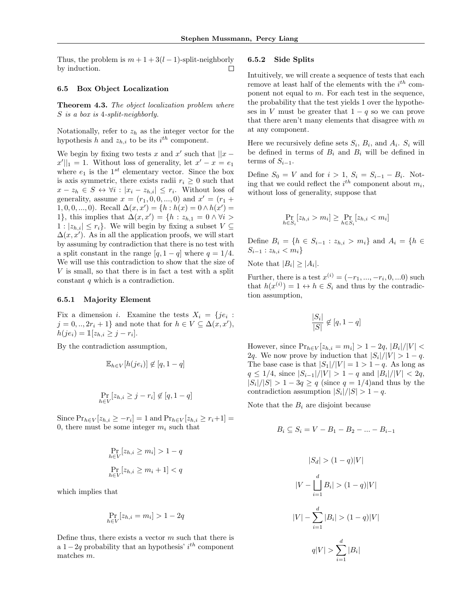Thus, the problem is  $m + 1 + 3(l - 1)$ -split-neighborly by induction. П

### 6.5 Box Object Localization

**Theorem 4.3.** The object localization problem where S is a box is 4-split-neighborly.

Notationally, refer to  $z<sub>h</sub>$  as the integer vector for the hypothesis h and  $z_{h,i}$  to be its  $i^{th}$  component.

We begin by fixing two tests x and  $x'$  such that  $||x - y||$  $x'||_1 = 1$ . Without loss of generality, let  $x' - x = e_1$ where  $e_1$  is the  $1^{st}$  elementary vector. Since the box is axis symmetric, there exists radii  $r_i \geq 0$  such that  $x - z_h \in S \leftrightarrow \forall i : |x_i - z_{h,i}| \leq r_i$ . Without loss of generality, assume  $x = (r_1, 0, 0, ..., 0)$  and  $x' = (r_1 +$ 1, 0, 0, ..., 0). Recall  $\Delta(x, x') = \{h : h(x) = 0 \wedge h(x') = 0\}$ 1}, this implies that  $\Delta(x, x') = \{h : z_{h,1} = 0 \land \forall i >$  $1: |z_{h,i}| \leq r_i$ . We will begin by fixing a subset  $V \subseteq$  $\Delta(x, x')$ . As in all the application proofs, we will start by assuming by contradiction that there is no test with a split constant in the range  $[q, 1 - q]$  where  $q = 1/4$ . We will use this contradiction to show that the size of V is small, so that there is in fact a test with a split constant q which is a contradiction.

### 6.5.1 Majority Element

Fix a dimension *i*. Examine the tests  $X_i = \{je_i :$  $j = 0, ..., 2r_i + 1$  and note that for  $h \in V \subseteq \Delta(x, x'),$  $h(j e_i) = \mathbb{1}[z_{h,i} \geq j - r_i].$ 

By the contradiction assumption,

 $\ddot{h}$ 

$$
\mathbb{E}_{h \in V}[h(je_i)] \notin [q, 1-q]
$$
  

$$
\Pr_{i \in V}[z_{h,i} \geq j - r_i] \notin [q, 1-q]
$$

Since  $Pr_{h \in V}[z_{h,i} \geq -r_i] = 1$  and  $Pr_{h \in V}[z_{h,i} \geq r_i+1] =$ 0, there must be some integer  $m_i$  such that

$$
\Pr_{h \in V} [z_{h,i} \ge m_i] > 1 - q
$$
  

$$
\Pr_{h \in V} [z_{h,i} \ge m_i + 1] < q
$$

which implies that

$$
\Pr_{h \in V}[z_{h,i} = m_i] > 1 - 2q
$$

Define thus, there exists a vector  $m$  such that there is a  $1-2q$  probability that an hypothesis' i<sup>th</sup> component matches m.

### 6.5.2 Side Splits

Intuitively, we will create a sequence of tests that each remove at least half of the elements with the  $i^{th}$  component not equal to  $m$ . For each test in the sequence, the probability that the test yields 1 over the hypotheses in V must be greater that  $1 - q$  so we can prove that there aren't many elements that disagree with  $m$ at any component.

Here we recursively define sets  $S_i$ ,  $B_i$ , and  $A_i$ .  $S_i$  will be defined in terms of  $B_i$  and  $B_i$  will be defined in terms of  $S_{i-1}$ .

Define  $S_0 = V$  and for  $i > 1$ ,  $S_i = S_{i-1} - B_i$ . Noting that we could reflect the  $i^{th}$  component about  $m_i$ , without loss of generality, suppose that

$$
\Pr_{h \in S_i}[z_{h,i} > m_i] \ge \Pr_{h \in S_i}[z_{h,i} < m_i]
$$

Define  $B_i = \{h \in S_{i-1} : z_{h,i} > m_i\}$  and  $A_i = \{h \in S_{i-1} : z_{h,i} > m_i\}$  $S_{i-1}$ :  $z_{h,i} < m_i$ 

Note that  $|B_i| \geq |A_i|$ .

Further, there is a test  $x^{(i)} = (-r_1, ..., -r_i, 0, ...0)$  such that  $h(x^{(i)}) = 1 \leftrightarrow h \in S_i$  and thus by the contradiction assumption,

$$
\frac{|S_i|}{|S|} \notin [q, 1-q]
$$

However, since  $Pr_{h \in V}[z_{h,i} = m_i] > 1 - 2q$ ,  $|B_i|/|V| <$ 2q. We now prove by induction that  $|S_i|/|V| > 1 - q$ . The base case is that  $|S_1|/|V| = 1 > 1 - q$ . As long as  $q \leq 1/4$ , since  $|S_{i-1}|/|V| > 1 - q$  and  $|B_i|/|V| < 2q$ ,  $|S_i|/|S| > 1-3q \ge q$  (since  $q = 1/4$ ) and thus by the contradiction assumption  $|S_i|/|S| > 1 - q$ .

Note that the  $B_i$  are disjoint because

$$
B_i \subseteq S_i = V - B_1 - B_2 - \dots - B_{i-1}
$$

$$
|S_d| > (1 - q)|V|
$$

$$
|V - \bigsqcup_{i=1}^d B_i| > (1 - q)|V|
$$

$$
|V| - \sum_{i=1}^d |B_i| > (1 - q)|V|
$$

$$
q|V| > \sum_{i=1}^d |B_i|
$$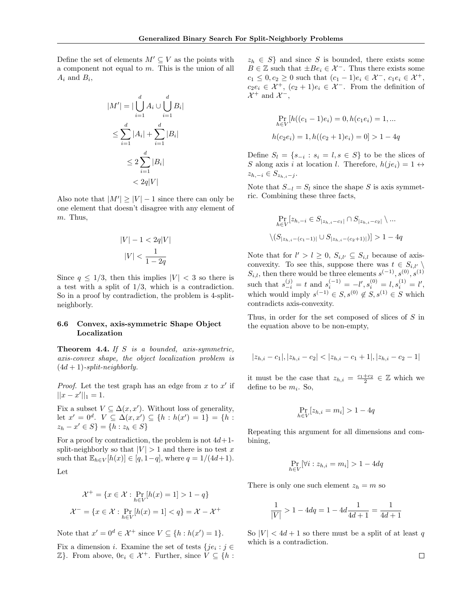Define the set of elements  $M' \subseteq V$  as the points with a component not equal to m. This is the union of all  $A_i$  and  $B_i$ ,

$$
|M'| = |\bigcup_{i=1}^{d} A_i \cup \bigcup_{i=1}^{d} B_i|
$$
  
\n
$$
\leq \sum_{i=1}^{d} |A_i| + \sum_{i=1}^{d} |B_i|
$$
  
\n
$$
\leq 2 \sum_{i=1}^{d} |B_i|
$$
  
\n
$$
< 2q|V|
$$

Also note that  $|M'| \geq |V| - 1$  since there can only be one element that doesn't disagree with any element of m. Thus,

$$
|V|-1<2q|V|
$$
  

$$
|V|<\frac{1}{1-2q}
$$

Since  $q \leq 1/3$ , then this implies  $|V| < 3$  so there is a test with a split of  $1/3$ , which is a contradiction. So in a proof by contradiction, the problem is 4-splitneighborly.

## 6.6 Convex, axis-symmetric Shape Object Localization

Theorem 4.4. If S is a bounded, axis-symmetric, axis-convex shape, the object localization problem is  $(4d + 1)$ -split-neighborly.

*Proof.* Let the test graph has an edge from  $x$  to  $x'$  if  $||x - x'||_1 = 1.$ 

Fix a subset  $V \subseteq \Delta(x, x')$ . Without loss of generality, let  $x' = 0^d$ .  $V \subseteq \Delta(x, x') \subseteq \{h : h(x') = 1\} = \{h :$  $z_h - x' \in S$ } = { $h : z_h \in S$ }

For a proof by contradiction, the problem is not  $4d+1$ split-neighborly so that  $|V| > 1$  and there is no test x such that  $\mathbb{E}_{h \in V}[h(x)] \in [q, 1-q]$ , where  $q = 1/(4d+1)$ .

Let

$$
\mathcal{X}^+ = \{x \in \mathcal{X} : \Pr_{h \in V}[h(x) = 1] > 1 - q\}
$$

$$
\mathcal{X}^- = \{x \in \mathcal{X} : \Pr_{h \in V}[h(x) = 1] < q\} = \mathcal{X} - \mathcal{X}^+
$$

Note that  $x' = 0^d \in \mathcal{X}^+$  since  $V \subseteq \{h : h(x') = 1\}.$ 

Fix a dimension *i*. Examine the set of tests  $\{je_i : j \in \mathbb{R}\}$  $\mathbb{Z}$ . From above,  $0e_i \in \mathcal{X}^+$ . Further, since  $V \subseteq \{h :$   $z_h \in S$  and since S is bounded, there exists some  $B \in \mathbb{Z}$  such that  $\pm Be_i \in \mathcal{X}^-$ . Thus there exists some  $c_1 \leq 0, c_2 \geq 0$  such that  $(c_1 - 1)e_i \in \mathcal{X}^-, c_1e_i \in \mathcal{X}^+,$  $c_2e_i \in \mathcal{X}^+$ ,  $(c_2+1)e_i \in \mathcal{X}^-$ . From the definition of  $\mathcal{X}^+$  and  $\mathcal{X}^-$ ,

$$
\Pr_{h \in V} [h((c_1 - 1)e_i) = 0, h(c_1 e_i) = 1, ...
$$
  

$$
h(c_2 e_i) = 1, h((c_2 + 1)e_i) = 0] > 1 - 4q
$$

Define  $S_l = \{s_{-i} : s_i = l, s \in S\}$  to be the slices of S along axis i at location l. Therefore,  $h(je_i) = 1 \leftrightarrow$  $z_{h,-i} \in S_{z_{h,i}-j}$ .

Note that  $S_{-l} = S_l$  since the shape S is axis symmetric. Combining these three facts,

$$
\Pr_{h \in V} [z_{h, -i} \in S_{|z_{h, i} - c_1|} \cap S_{|z_{h, i} - c_2|} \setminus \dots
$$
  

$$
\setminus (S_{|z_{h, i} - (c_1 - 1)|} \cup S_{|z_{h, i} - (c_2 + 1)|}) > 1 - 4q
$$

Note that for  $l' > l \geq 0$ ,  $S_{i,l'} \subseteq S_{i,l}$  because of axisconvexity. To see this, suppose there was  $t \in S_{i,l'} \setminus \mathcal{O}$  $S_{i,l}$ , then there would be three elements  $s^{(-1)}, s^{(0)}, s^{(1)}$ such that  $s_{-i}^{(j)} = t$  and  $s_i^{(-1)} = -l', s_i^{(0)} = l, s_i^{(1)} = l'$ , which would imply  $s^{(-1)} \in S, s^{(0)} \notin S, s^{(1)} \in S$  which contradicts axis-convexity.

Thus, in order for the set composed of slices of S in the equation above to be non-empty,

$$
|z_{h,i}-c_1|, |z_{h,i}-c_2|<|z_{h,i}-c_1+1|, |z_{h,i}-c_2-1|
$$

it must be the case that  $z_{h,i} = \frac{c_1+c_2}{2} \in \mathbb{Z}$  which we define to be  $m_i$ . So,

$$
\Pr_{h \in V}[z_{h,i} = m_i] > 1 - 4q
$$

Repeating this argument for all dimensions and combining,

$$
\Pr_{h \in V}[\forall i: z_{h,i} = m_i] > 1 - 4dq
$$

There is only one such element  $z_h = m$  so

$$
\frac{1}{|V|} > 1 - 4dq = 1 - 4d\frac{1}{4d+1} = \frac{1}{4d+1}
$$

So  $|V| < 4d+1$  so there must be a split of at least q which is a contradiction.

 $\Box$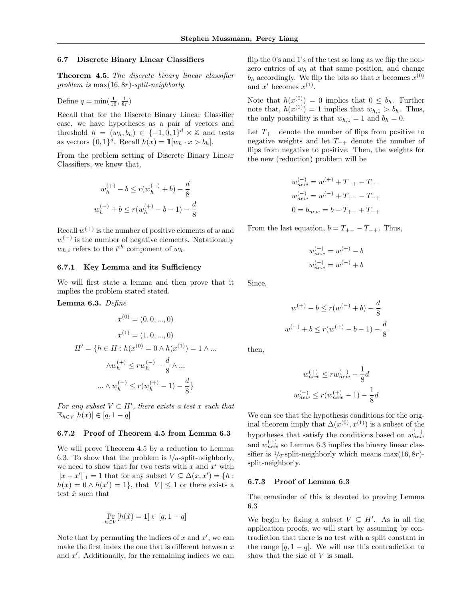### 6.7 Discrete Binary Linear Classifiers

Theorem 4.5. The discrete binary linear classifier problem is max(16, 8r)-split-neighborly.

Define  $q = \min(\frac{1}{16}, \frac{1}{8r})$ 

Recall that for the Discrete Binary Linear Classifier case, we have hypotheses as a pair of vectors and threshold  $h = (w_h, b_h) \in \{-1, 0, 1\}^d \times \mathbb{Z}$  and tests as vectors  $\{0,1\}^d$ . Recall  $h(x) = \mathbb{1}[w_h \cdot x > b_h]$ .

From the problem setting of Discrete Binary Linear Classifiers, we know that,

$$
w_h^{(+)} - b \le r(w_h^{(-)} + b) - \frac{d}{8}
$$
  

$$
w_h^{(-)} + b \le r(w_h^{(+)} - b - 1) - \frac{d}{8}
$$

Recall  $w^{(+)}$  is the number of positive elements of w and  $w^{(-)}$  is the number of negative elements. Notationally  $w_{h,i}$  refers to the  $i^{th}$  component of  $w_h$ .

## 6.7.1 Key Lemma and its Sufficiency

We will first state a lemma and then prove that it implies the problem stated stated.

Lemma 6.3. Define

$$
x^{(0)} = (0, 0, ..., 0)
$$

$$
x^{(1)} = (1, 0, ..., 0)
$$

$$
H' = \{h \in H : h(x^{(0)} = 0 \land h(x^{(1)}) = 1 \land ...
$$

$$
\land w_h^{(+)} \le rw_h^{(-)} - \frac{d}{8} \land ...
$$

$$
... \land w_h^{(-)} \le r(w_h^{(+)} - 1) - \frac{d}{8}\}
$$

For any subset  $V \subset H'$ , there exists a test x such that  $\mathbb{E}_{h \in V}[h(x)] \in [q, 1-q]$ 

### 6.7.2 Proof of Theorem 4.5 from Lemma 6.3

We will prove Theorem 4.5 by a reduction to Lemma 6.3. To show that the problem is  $1/\alpha$ -split-neighborly, we need to show that for two tests with  $x$  and  $x'$  with  $||x - x'||_1 = 1$  that for any subset  $V \subseteq \Delta(x, x') = \{h :$  $h(x) = 0 \wedge h(x') = 1$ , that  $|V| \leq 1$  or there exists a test $\hat{x}$  such that

$$
\Pr_{h \in V}[h(\hat{x}) = 1] \in [q, 1-q]
$$

Note that by permuting the indices of  $x$  and  $x'$ , we can make the first index the one that is different between  $x$ and  $x'$ . Additionally, for the remaining indices we can

flip the 0's and 1's of the test so long as we flip the nonzero entries of  $w<sub>h</sub>$  at that same position, and change  $b_h$  accordingly. We flip the bits so that x becomes  $x^{(0)}$ and  $x'$  becomes  $x^{(1)}$ .

Note that  $h(x^{(0)}) = 0$  implies that  $0 \leq b_h$ . Further note that,  $h(x^{(1)}) = 1$  implies that  $w_{h,1} > b_h$ . Thus, the only possibility is that  $w_{h,1} = 1$  and  $b_h = 0$ .

Let  $T_{+-}$  denote the number of flips from positive to negative weights and let  $T_{-+}$  denote the number of flips from negative to positive. Then, the weights for the new (reduction) problem will be

$$
w_{new}^{(+)} = w^{(+)} + T_{-+} - T_{+-}
$$
  
\n
$$
w_{new}^{(-)} = w^{(-)} + T_{+-} - T_{-+}
$$
  
\n
$$
0 = b_{new} = b - T_{+-} + T_{-+}
$$

From the last equation,  $b = T_{+-} - T_{-+}$ . Thus,

$$
\begin{split} w_{new}^{(+)} &= w^{(+)} - b \\ w_{new}^{(-)} &= w^{(-)} + b \end{split}
$$

Since,

$$
w^{(+)} - b \le r(w^{(-)} + b) - \frac{d}{8}
$$
  

$$
w^{(-)} + b \le r(w^{(+)} - b - 1) - \frac{d}{8}
$$

then,

$$
w_{new}^{(+)} \le rw_{new}^{(-)} - \frac{1}{8}d
$$
  

$$
w_{new}^{(-)} \le r(w_{new}^{(+)} - 1) - \frac{1}{8}d
$$

We can see that the hypothesis conditions for the original theorem imply that  $\Delta(x^{(0)},x^{(1)})$  is a subset of the hypotheses that satisfy the conditions based on  $w_{new}^{(-)}$ and  $w_{new}^{(+)}$  so Lemma 6.3 implies the binary linear classifier is  $1/q$ -split-neighborly which means max $(16, 8r)$ split-neighborly.

#### 6.7.3 Proof of Lemma 6.3

The remainder of this is devoted to proving Lemma 6.3

We begin by fixing a subset  $V \subseteq H'$ . As in all the application proofs, we will start by assuming by contradiction that there is no test with a split constant in the range  $[q, 1 - q]$ . We will use this contradiction to show that the size of  $V$  is small.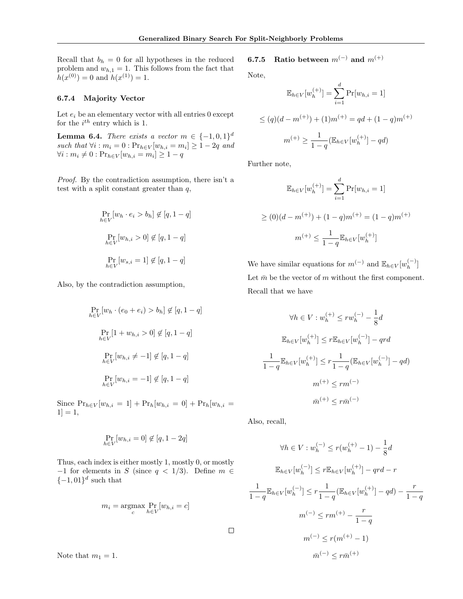Recall that  $b_h = 0$  for all hypotheses in the reduced problem and  $w_{h,1} = 1$ . This follows from the fact that  $h(x^{(0)}) = 0$  and  $h(x^{(1)}) = 1$ .

### 6.7.4 Majority Vector

Let  $e_i$  be an elementary vector with all entries 0 except for the  $i^{th}$  entry which is 1.

**Lemma 6.4.** There exists a vector  $m \in \{-1,0,1\}^d$ such that  $\forall i : m_i = 0 : Pr_{h \in V}[w_{h,i} = m_i] \geq 1 - 2q$  and  $\forall i : m_i \neq 0 : Pr_{h \in V}[w_{h,i} = m_i] \geq 1 - q$ 

Proof. By the contradiction assumption, there isn't a test with a split constant greater than  $q$ ,

$$
\Pr_{h \in V} [w_h \cdot e_i > b_h] \notin [q, 1-q]
$$
\n
$$
\Pr_{h \in V} [w_{h,i} > 0] \notin [q, 1-q]
$$
\n
$$
\Pr_{h \in V} [w_{s,i} = 1] \notin [q, 1-q]
$$

Also, by the contradiction assumption,

$$
\Pr_{h \in V}[w_h \cdot (e_0 + e_i) > b_h] \notin [q, 1 - q]
$$
\n
$$
\Pr_{h \in V}[1 + w_{h,i} > 0] \notin [q, 1 - q]
$$
\n
$$
\Pr_{h \in V}[w_{h,i} \neq -1] \notin [q, 1 - q]
$$
\n
$$
\Pr_{h \in V}[w_{h,i} = -1] \notin [q, 1 - q]
$$

Since  $Pr_{h \in V}[w_{h,i} = 1] + Pr_h[w_{h,i} = 0] + Pr_h[w_{h,i} = 1]$  $1] = 1,$ 

$$
\Pr_{h \in V}[w_{h,i} = 0] \notin [q, 1 - 2q]
$$

Thus, each index is either mostly 1, mostly 0, or mostly  $-1$  for elements in S (since  $q < 1/3$ ). Define  $m \in$  $\{-1,01\}$ <sup>d</sup> such that

$$
m_i = \underset{c}{\operatorname{argmax}} \Pr_{h \in V}[w_{h,i} = c]
$$

6.7.5 Ratio between  $m^{(-)}$  and  $m^{(+)}$ 

Note,

$$
\mathbb{E}_{h \in V}[w_h^{(+)}] = \sum_{i=1}^d \Pr[w_{h,i} = 1]
$$
  
\n
$$
\leq (q)(d - m^{(+)}) + (1)m^{(+)} = qd + (1 - q)m^{(+)}
$$
  
\n
$$
m^{(+)} \geq \frac{1}{1 - q} (\mathbb{E}_{h \in V}[w_h^{(+)}] - qd)
$$

Further note,

$$
\mathbb{E}_{h \in V}[w_h^{(+)}] = \sum_{i=1}^d \Pr[w_{h,i} = 1]
$$
  
\n
$$
\geq (0)(d - m^{(+)}) + (1 - q)m^{(+)} = (1 - q)m^{(+)}
$$
  
\n
$$
m^{(+)} \leq \frac{1}{1 - q} \mathbb{E}_{h \in V}[w_h^{(+)}]
$$

We have similar equations for  $m^{(-)}$  and  $\mathbb{E}_{h \in V}[w_h^{(-)}]$  $\binom{(-)}{h}$ Let  $\bar{m}$  be the vector of m without the first component. Recall that we have

$$
\forall h \in V : w_h^{(+)} \le rw_h^{(-)} - \frac{1}{8}d
$$
  

$$
\mathbb{E}_{h \in V}[w_h^{(+)}] \le r \mathbb{E}_{h \in V}[w_h^{(-)}] - qrd
$$
  

$$
\frac{1}{1-q} \mathbb{E}_{h \in V}[w_h^{(+)}] \le r \frac{1}{1-q} (\mathbb{E}_{h \in V}[w_h^{(-)}] - qd)
$$
  

$$
m^{(+)} \le rm^{(-)}
$$
  

$$
\bar{m}^{(+)} \le r\bar{m}^{(-)}
$$

Also, recall,

 $\Box$ 

$$
\forall h \in V : w_h^{(-)} \le r(w_h^{(+)} - 1) - \frac{1}{8}d
$$
  

$$
\mathbb{E}_{h \in V}[w_h^{(-)}] \le r \mathbb{E}_{h \in V}[w_h^{(+)}] - qrd - r
$$
  

$$
\frac{1}{1-q} \mathbb{E}_{h \in V}[w_h^{(-)}] \le r \frac{1}{1-q} (\mathbb{E}_{h \in V}[w_h^{(+)}] - qd) - \frac{r}{1-q}
$$
  

$$
m^{(-)} \le rm^{(+)} - \frac{r}{1-q}
$$
  

$$
m^{(-)} \le r(m^{(+)} - 1)
$$
  

$$
\bar{m}^{(-)} \le r\bar{m}^{(+)}
$$

Note that  $m_1 = 1$ .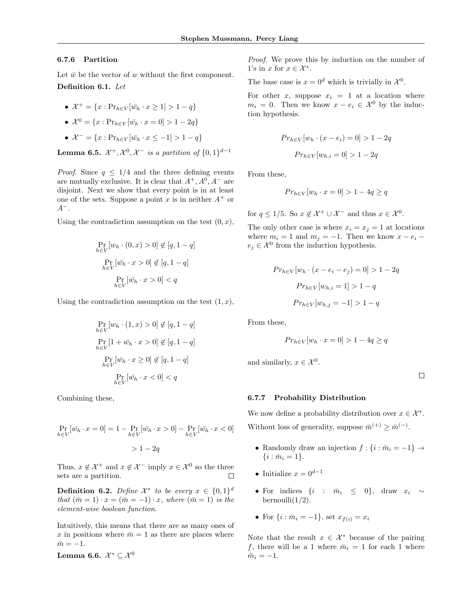### 6.7.6 Partition

Let  $\bar{w}$  be the vector of w without the first component. Definition 6.1. Let

•  $\mathcal{X}^+ = \{x : \text{Pr}_{h \in V}[\bar{w}_h \cdot x \geq 1] > 1 - q\}$ 

• 
$$
\mathcal{X}^0 = \{x : Pr_{h \in V}[\bar{w}_h \cdot x = 0] > 1 - 2q\}
$$

$$
\bullet \ \mathcal{X}^- = \{x : \text{Pr}_{h \in V}[\bar{w}_h \cdot x \le -1] > 1 - q\}
$$

**Lemma 6.5.**  $\mathcal{X}^+, \mathcal{X}^0, \mathcal{X}^-$  is a partition of  $\{0, 1\}^{d-1}$ 

*Proof.* Since  $q \leq 1/4$  and the three defining events are mutually exclusive. It is clear that  $A^+, A^0, A^-$  are disjoint. Next we show that every point is in at least one of the sets. Suppose a point x is in neither  $A^+$  or  $A^-$ .

Using the contradiction assumption on the test  $(0, x)$ ,

$$
\Pr_{h \in V}[w_h \cdot (0, x) > 0] \notin [q, 1-q]
$$

$$
\Pr_{h \in V}[\bar{w}_h \cdot x > 0] \notin [q, 1-q]
$$

$$
\Pr_{h \in V}[\bar{w}_h \cdot x > 0] < q
$$

Using the contradiction assumption on the test  $(1, x)$ ,

$$
\Pr_{h \in V} [w_h \cdot (1, x) > 0] \notin [q, 1 - q]
$$
\n
$$
\Pr_{h \in V} [1 + \bar{w}_h \cdot x > 0] \notin [q, 1 - q]
$$
\n
$$
\Pr_{h \in V} [\bar{w}_h \cdot x \ge 0] \notin [q, 1 - q]
$$
\n
$$
\Pr_{h \in V} [\bar{w}_h \cdot x < 0] < q
$$

Combining these,

$$
\Pr_{h \in V}[\bar{w_h} \cdot x = 0] = 1 - \Pr_{h \in V}[\bar{w_h} \cdot x > 0] - \Pr_{h \in V}[\bar{w_h} \cdot x < 0]
$$
\n
$$
> 1 - 2q
$$

Thus,  $x \notin \mathcal{X}^+$  and  $x \notin \mathcal{X}^-$  imply  $x \in \mathcal{X}^0$  so the three sets are a partition. П

**Definition 6.2.** Define  $\mathcal{X}^*$  to be every  $x \in \{0,1\}^d$ that  $(\bar{m} = 1) \cdot x = (\bar{m} = -1) \cdot x$ , where  $(\bar{m} = 1)$  is the element-wise boolean function.

Intuitively, this means that there are as many ones of x in positions where  $\bar{m} = 1$  as there are places where  $\bar{m} = -1.$ 

Lemma 6.6.  $\mathcal{X}^*\subseteq\mathcal{X}^0$ 

Proof. We prove this by induction on the number of 1's in x for  $x \in \mathcal{X}^*$ .

The base case is  $x = 0^d$  which is trivially in  $\mathcal{X}^0$ .

For other x, suppose  $x_i = 1$  at a location where  $m_i = 0$ . Then we know  $x - e_i \in \mathcal{X}^0$  by the induction hypothesis.

$$
Pr_{h \in V}[w_h \cdot (x - e_i) = 0] > 1 - 2q
$$

$$
Pr_{h \in V}[w_{h,i} = 0] > 1 - 2q
$$

From these,

$$
Pr_{h \in V}[w_h \cdot x = 0] > 1 - 4q \ge q
$$

for  $q \leq 1/5$ . So  $x \notin \mathcal{X}^+ \cup \mathcal{X}^-$  and thus  $x \in \mathcal{X}^0$ .

The only other case is where  $x_i = x_j = 1$  at locations where  $m_i = 1$  and  $m_j = -1$ . Then we know  $x - e_i$  $e_j \in \mathcal{X}^0$  from the induction hypothesis.

$$
Pr_{h \in V}[w_h \cdot (x - e_i - e_j) = 0] > 1 - 2q
$$

$$
Pr_{h \in V}[w_{h,i} = 1] > 1 - q
$$

$$
Pr_{h \in V}[w_{h,j} = -1] > 1 - q
$$

From these,

$$
Pr_{h \in V}[w_h \cdot x = 0] > 1 - 4q \ge q
$$

and similarly,  $x \in \mathcal{X}^0$ .

 $\Box$ 

### 6.7.7 Probability Distribution

We now define a probability distribution over  $x \in \mathcal{X}^*$ . Without loss of generality, suppose  $\bar{m}^{(+)} \geq \bar{m}^{(-)}$ .

- Randomly draw an injection  $f : \{i : \overline{m}_i = -1\} \rightarrow$  $\{i : \bar{m}_i = 1\}.$
- Initialize  $x = 0^{d-1}$
- For indices  $\{i : \bar{m}_i \leq 0\}$ , draw  $x_i \sim$ bernoulli $(1/2)$ .
- For  $\{i : \bar{m}_i = -1\}$ , set  $x_{f(i)} = x_i$

Note that the result  $x \in \mathcal{X}^*$  because of the pairing f, there will be a 1 where  $\bar{m}_i = 1$  for each 1 where  $\bar{m}_i = -1.$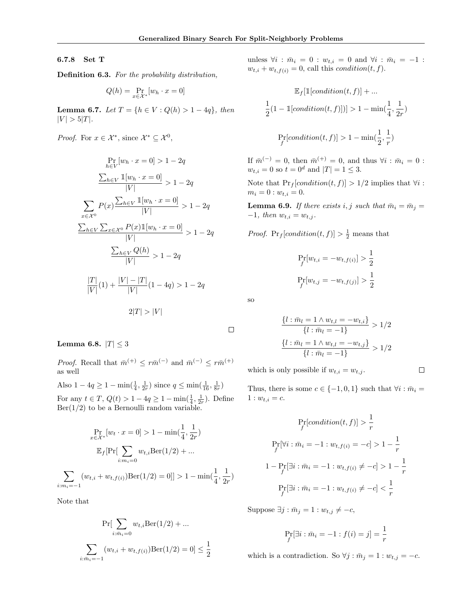# 6.7.8 Set T

Definition 6.3. For the probability distribution,

$$
Q(h) = \Pr_{x \in \mathcal{X}^*}[w_h \cdot x = 0]
$$

Lemma 6.7. Let  $T = \{h \in V : Q(h) > 1 - 4q\}$ , then  $|V| > 5|T|$ .

*Proof.* For  $x \in \mathcal{X}^*$ , since  $\mathcal{X}^* \subseteq \mathcal{X}^0$ ,

$$
\Pr_{h \in V} [w_h \cdot x = 0] > 1 - 2q
$$
\n
$$
\frac{\sum_{h \in V} \mathbb{1}[w_h \cdot x = 0]}{|V|} > 1 - 2q
$$
\n
$$
\sum_{x \in \mathcal{X}^0} P(x) \frac{\sum_{h \in V} \mathbb{1}[w_h \cdot x = 0]}{|V|} > 1 - 2q
$$
\n
$$
\frac{\sum_{h \in V} \sum_{x \in \mathcal{X}^0} P(x) \mathbb{1}[w_h \cdot x = 0]}{|V|} > 1 - 2q
$$
\n
$$
\frac{\sum_{h \in V} Q(h)}{|V|} > 1 - 2q
$$
\n
$$
\frac{|T|}{|V|}(1) + \frac{|V| - |T|}{|V|}(1 - 4q) > 1 - 2q
$$
\n
$$
2|T| > |V|
$$

Lemma 6.8.  $|T| \leq 3$ 

*Proof.* Recall that  $\bar{m}^{(+)} \leq r\bar{m}^{(-)}$  and  $\bar{m}^{(-)} \leq r\bar{m}^{(+)}$ as well

Also  $1 - 4q \ge 1 - \min(\frac{1}{4}, \frac{1}{2r})$  since  $q \le \min(\frac{1}{16}, \frac{1}{8r})$ For any  $t \in T$ ,  $Q(t) > 1 - 4q \ge 1 - \min(\frac{1}{4}, \frac{1}{2r})$ . Define  $Ber(1/2)$  to be a Bernoulli random variable.

$$
\Pr_{x \in \mathcal{X}^*}[w_t \cdot x = 0] > 1 - \min(\frac{1}{4}, \frac{1}{2r})
$$

$$
\mathbb{E}_f[\Pr[\sum_{i:m_i=0} w_{t,i} \text{Ber}(1/2) + \dots]
$$

$$
\sum_{i:m_i=-1} (w_{t,i} + w_{t,f(i)}) \text{Ber}(1/2) = 0]] > 1 - \min(\frac{1}{4}, \frac{1}{2r})
$$

Note that

$$
\Pr[\sum_{i:\bar{m}_i=0} w_{t,i} \text{Ber}(1/2) + \dots
$$

$$
\sum_{i:\bar{m}_i=-1} (w_{t,i} + w_{t,f(i)}) \text{Ber}(1/2) = 0] \le \frac{1}{2}
$$

unless  $\forall i : \bar{m}_i = 0 : w_{t,i} = 0$  and  $\forall i : \bar{m}_i = -1$ :  $w_{t,i} + w_{t,f(i)} = 0$ , call this *condition*(*t*, *f*).

$$
\mathbb{E}_f[\mathbbm{1}[condition(t,f)] + \dots
$$
  

$$
\frac{1}{2}(1 - \mathbbm{1}[condition(t,f)]) > 1 - \min(\frac{1}{4}, \frac{1}{2r})
$$
  

$$
\Pr_f[condition(t,f)] > 1 - \min(\frac{1}{2}, \frac{1}{r})
$$

If  $\bar{m}^{(-)} = 0$ , then  $\bar{m}^{(+)} = 0$ , and thus  $\forall i : \bar{m}_i = 0$ :  $w_{t,i} = 0$  so  $t = 0^d$  and  $|T| = 1 \leq 3$ .

Note that  $Pr_f[condition(t, f)] > 1/2$  implies that  $\forall i$ :  $m_i = 0$ :  $w_{t,i} = 0$ .

**Lemma 6.9.** If there exists i, j such that  $\bar{m}_i = \bar{m}_j =$  $-1$ , then  $w_{t,i} = w_{t,j}$ .

*Proof.*  $Pr_f[condition(t, f)] > \frac{1}{2}$  means that

$$
\Pr_{f}[w_{t,i} = -w_{t,f(i)}] > \frac{1}{2}
$$

$$
\Pr_{f}[w_{t,j} = -w_{t,f(j)}] > \frac{1}{2}
$$

so

 $\Box$ 

$$
\frac{\{l : \bar{m}_l = 1 \land w_{t,l} = -w_{t,i}\}}{\{l : \bar{m}_l = -1\}} > 1/2
$$

$$
\frac{\{l : \bar{m}_l = 1 \land w_{t,l} = -w_{t,j}\}}{\{l : \bar{m}_l = -1\}} > 1/2
$$

which is only possible if  $w_{t,i} = w_{t,j}$ .

 $\Box$ 

Thus, there is some  $c \in \{-1,0,1\}$  such that  $\forall i : \bar{m}_i =$  $1 : w_{t,i} = c.$ 

$$
\Pr_{f}[condition(t, f)] > \frac{1}{r}
$$
\n
$$
\Pr_{f}[\forall i : \bar{m}_{i} = -1 : w_{t, f(i)} = -c] > 1 - \frac{1}{r}
$$
\n
$$
1 - \Pr_{f}[\exists i : \bar{m}_{i} = -1 : w_{t, f(i)} \neq -c] > 1 - \frac{1}{r}
$$
\n
$$
\Pr_{f}[\exists i : \bar{m}_{i} = -1 : w_{t, f(i)} \neq -c] < \frac{1}{r}
$$

Suppose  $\exists j : \bar{m}_j = 1 : w_{t,j} \neq -c$ ,

$$
\Pr_{f}[\exists i : \bar{m}_i = -1 : f(i) = j] = \frac{1}{r}
$$

which is a contradiction. So  $\forall j : \bar{m}_j = 1 : w_{t,j} = -c$ .